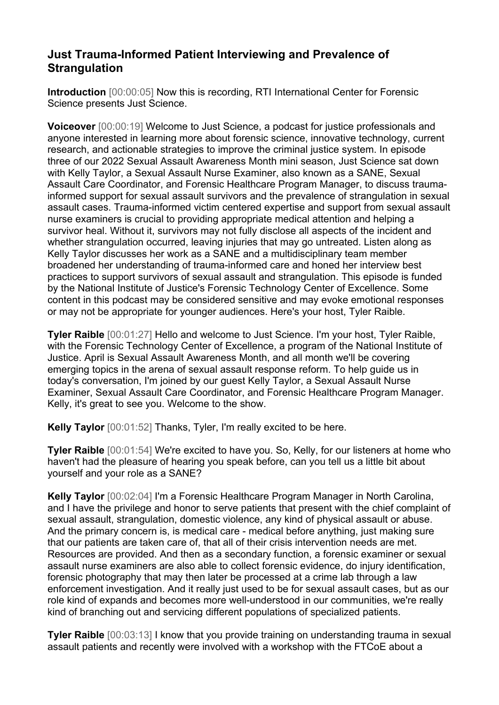## **Just Trauma-Informed Patient Interviewing and Prevalence of Strangulation**

**Introduction** [00:00:05] Now this is recording, RTI International Center for Forensic Science presents Just Science.

**Voiceover** [00:00:19] Welcome to Just Science, a podcast for justice professionals and anyone interested in learning more about forensic science, innovative technology, current research, and actionable strategies to improve the criminal justice system. In episode three of our 2022 Sexual Assault Awareness Month mini season, Just Science sat down with Kelly Taylor, a Sexual Assault Nurse Examiner, also known as a SANE, Sexual Assault Care Coordinator, and Forensic Healthcare Program Manager, to discuss traumainformed support for sexual assault survivors and the prevalence of strangulation in sexual assault cases. Trauma-informed victim centered expertise and support from sexual assault nurse examiners is crucial to providing appropriate medical attention and helping a survivor heal. Without it, survivors may not fully disclose all aspects of the incident and whether strangulation occurred, leaving injuries that may go untreated. Listen along as Kelly Taylor discusses her work as a SANE and a multidisciplinary team member broadened her understanding of trauma-informed care and honed her interview best practices to support survivors of sexual assault and strangulation. This episode is funded by the National Institute of Justice's Forensic Technology Center of Excellence. Some content in this podcast may be considered sensitive and may evoke emotional responses or may not be appropriate for younger audiences. Here's your host, Tyler Raible.

**Tyler Raible** [00:01:27] Hello and welcome to Just Science. I'm your host, Tyler Raible, with the Forensic Technology Center of Excellence, a program of the National Institute of Justice. April is Sexual Assault Awareness Month, and all month we'll be covering emerging topics in the arena of sexual assault response reform. To help guide us in today's conversation, I'm joined by our guest Kelly Taylor, a Sexual Assault Nurse Examiner, Sexual Assault Care Coordinator, and Forensic Healthcare Program Manager. Kelly, it's great to see you. Welcome to the show.

**Kelly Taylor** [00:01:52] Thanks, Tyler, I'm really excited to be here.

**Tyler Raible** [00:01:54] We're excited to have you. So, Kelly, for our listeners at home who haven't had the pleasure of hearing you speak before, can you tell us a little bit about yourself and your role as a SANE?

**Kelly Taylor** [00:02:04] I'm a Forensic Healthcare Program Manager in North Carolina, and I have the privilege and honor to serve patients that present with the chief complaint of sexual assault, strangulation, domestic violence, any kind of physical assault or abuse. And the primary concern is, is medical care - medical before anything, just making sure that our patients are taken care of, that all of their crisis intervention needs are met. Resources are provided. And then as a secondary function, a forensic examiner or sexual assault nurse examiners are also able to collect forensic evidence, do injury identification, forensic photography that may then later be processed at a crime lab through a law enforcement investigation. And it really just used to be for sexual assault cases, but as our role kind of expands and becomes more well-understood in our communities, we're really kind of branching out and servicing different populations of specialized patients.

**Tyler Raible** [00:03:13] I know that you provide training on understanding trauma in sexual assault patients and recently were involved with a workshop with the FTCoE about a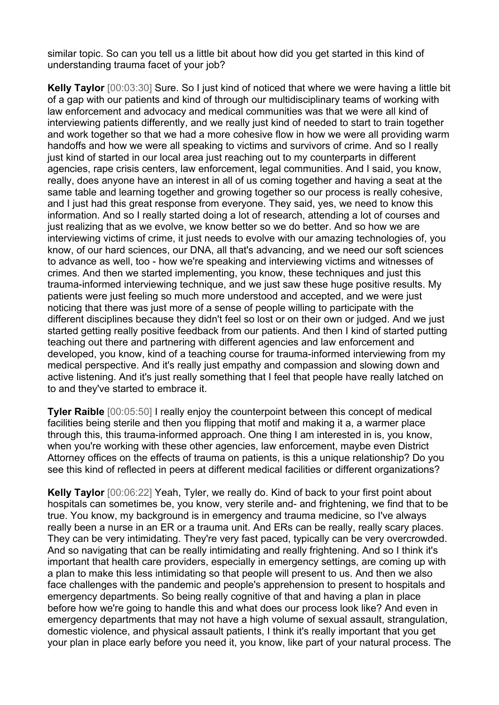similar topic. So can you tell us a little bit about how did you get started in this kind of understanding trauma facet of your job?

**Kelly Taylor** [00:03:30] Sure. So I just kind of noticed that where we were having a little bit of a gap with our patients and kind of through our multidisciplinary teams of working with law enforcement and advocacy and medical communities was that we were all kind of interviewing patients differently, and we really just kind of needed to start to train together and work together so that we had a more cohesive flow in how we were all providing warm handoffs and how we were all speaking to victims and survivors of crime. And so I really just kind of started in our local area just reaching out to my counterparts in different agencies, rape crisis centers, law enforcement, legal communities. And I said, you know, really, does anyone have an interest in all of us coming together and having a seat at the same table and learning together and growing together so our process is really cohesive, and I just had this great response from everyone. They said, yes, we need to know this information. And so I really started doing a lot of research, attending a lot of courses and just realizing that as we evolve, we know better so we do better. And so how we are interviewing victims of crime, it just needs to evolve with our amazing technologies of, you know, of our hard sciences, our DNA, all that's advancing, and we need our soft sciences to advance as well, too - how we're speaking and interviewing victims and witnesses of crimes. And then we started implementing, you know, these techniques and just this trauma-informed interviewing technique, and we just saw these huge positive results. My patients were just feeling so much more understood and accepted, and we were just noticing that there was just more of a sense of people willing to participate with the different disciplines because they didn't feel so lost or on their own or judged. And we just started getting really positive feedback from our patients. And then I kind of started putting teaching out there and partnering with different agencies and law enforcement and developed, you know, kind of a teaching course for trauma-informed interviewing from my medical perspective. And it's really just empathy and compassion and slowing down and active listening. And it's just really something that I feel that people have really latched on to and they've started to embrace it.

**Tyler Raible** [00:05:50] I really enjoy the counterpoint between this concept of medical facilities being sterile and then you flipping that motif and making it a, a warmer place through this, this trauma-informed approach. One thing I am interested in is, you know, when you're working with these other agencies, law enforcement, maybe even District Attorney offices on the effects of trauma on patients, is this a unique relationship? Do you see this kind of reflected in peers at different medical facilities or different organizations?

**Kelly Taylor** [00:06:22] Yeah, Tyler, we really do. Kind of back to your first point about hospitals can sometimes be, you know, very sterile and- and frightening, we find that to be true. You know, my background is in emergency and trauma medicine, so I've always really been a nurse in an ER or a trauma unit. And ERs can be really, really scary places. They can be very intimidating. They're very fast paced, typically can be very overcrowded. And so navigating that can be really intimidating and really frightening. And so I think it's important that health care providers, especially in emergency settings, are coming up with a plan to make this less intimidating so that people will present to us. And then we also face challenges with the pandemic and people's apprehension to present to hospitals and emergency departments. So being really cognitive of that and having a plan in place before how we're going to handle this and what does our process look like? And even in emergency departments that may not have a high volume of sexual assault, strangulation, domestic violence, and physical assault patients, I think it's really important that you get your plan in place early before you need it, you know, like part of your natural process. The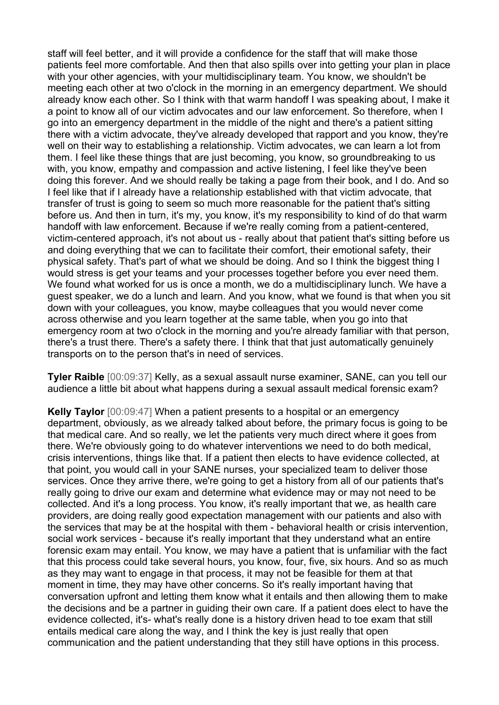staff will feel better, and it will provide a confidence for the staff that will make those patients feel more comfortable. And then that also spills over into getting your plan in place with your other agencies, with your multidisciplinary team. You know, we shouldn't be meeting each other at two o'clock in the morning in an emergency department. We should already know each other. So I think with that warm handoff I was speaking about, I make it a point to know all of our victim advocates and our law enforcement. So therefore, when I go into an emergency department in the middle of the night and there's a patient sitting there with a victim advocate, they've already developed that rapport and you know, they're well on their way to establishing a relationship. Victim advocates, we can learn a lot from them. I feel like these things that are just becoming, you know, so groundbreaking to us with, you know, empathy and compassion and active listening, I feel like they've been doing this forever. And we should really be taking a page from their book, and I do. And so I feel like that if I already have a relationship established with that victim advocate, that transfer of trust is going to seem so much more reasonable for the patient that's sitting before us. And then in turn, it's my, you know, it's my responsibility to kind of do that warm handoff with law enforcement. Because if we're really coming from a patient-centered, victim-centered approach, it's not about us - really about that patient that's sitting before us and doing everything that we can to facilitate their comfort, their emotional safety, their physical safety. That's part of what we should be doing. And so I think the biggest thing I would stress is get your teams and your processes together before you ever need them. We found what worked for us is once a month, we do a multidisciplinary lunch. We have a guest speaker, we do a lunch and learn. And you know, what we found is that when you sit down with your colleagues, you know, maybe colleagues that you would never come across otherwise and you learn together at the same table, when you go into that emergency room at two o'clock in the morning and you're already familiar with that person, there's a trust there. There's a safety there. I think that that just automatically genuinely transports on to the person that's in need of services.

**Tyler Raible** [00:09:37] Kelly, as a sexual assault nurse examiner, SANE, can you tell our audience a little bit about what happens during a sexual assault medical forensic exam?

**Kelly Taylor** [00:09:47] When a patient presents to a hospital or an emergency department, obviously, as we already talked about before, the primary focus is going to be that medical care. And so really, we let the patients very much direct where it goes from there. We're obviously going to do whatever interventions we need to do both medical, crisis interventions, things like that. If a patient then elects to have evidence collected, at that point, you would call in your SANE nurses, your specialized team to deliver those services. Once they arrive there, we're going to get a history from all of our patients that's really going to drive our exam and determine what evidence may or may not need to be collected. And it's a long process. You know, it's really important that we, as health care providers, are doing really good expectation management with our patients and also with the services that may be at the hospital with them - behavioral health or crisis intervention, social work services - because it's really important that they understand what an entire forensic exam may entail. You know, we may have a patient that is unfamiliar with the fact that this process could take several hours, you know, four, five, six hours. And so as much as they may want to engage in that process, it may not be feasible for them at that moment in time, they may have other concerns. So it's really important having that conversation upfront and letting them know what it entails and then allowing them to make the decisions and be a partner in guiding their own care. If a patient does elect to have the evidence collected, it's- what's really done is a history driven head to toe exam that still entails medical care along the way, and I think the key is just really that open communication and the patient understanding that they still have options in this process.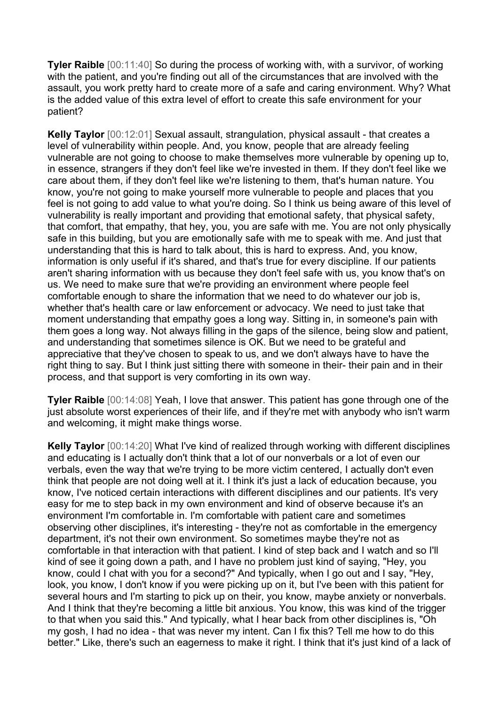**Tyler Raible** [00:11:40] So during the process of working with, with a survivor, of working with the patient, and you're finding out all of the circumstances that are involved with the assault, you work pretty hard to create more of a safe and caring environment. Why? What is the added value of this extra level of effort to create this safe environment for your patient?

**Kelly Taylor** [00:12:01] Sexual assault, strangulation, physical assault - that creates a level of vulnerability within people. And, you know, people that are already feeling vulnerable are not going to choose to make themselves more vulnerable by opening up to, in essence, strangers if they don't feel like we're invested in them. If they don't feel like we care about them, if they don't feel like we're listening to them, that's human nature. You know, you're not going to make yourself more vulnerable to people and places that you feel is not going to add value to what you're doing. So I think us being aware of this level of vulnerability is really important and providing that emotional safety, that physical safety, that comfort, that empathy, that hey, you, you are safe with me. You are not only physically safe in this building, but you are emotionally safe with me to speak with me. And just that understanding that this is hard to talk about, this is hard to express. And, you know, information is only useful if it's shared, and that's true for every discipline. If our patients aren't sharing information with us because they don't feel safe with us, you know that's on us. We need to make sure that we're providing an environment where people feel comfortable enough to share the information that we need to do whatever our job is, whether that's health care or law enforcement or advocacy. We need to just take that moment understanding that empathy goes a long way. Sitting in, in someone's pain with them goes a long way. Not always filling in the gaps of the silence, being slow and patient, and understanding that sometimes silence is OK. But we need to be grateful and appreciative that they've chosen to speak to us, and we don't always have to have the right thing to say. But I think just sitting there with someone in their- their pain and in their process, and that support is very comforting in its own way.

**Tyler Raible** [00:14:08] Yeah, I love that answer. This patient has gone through one of the just absolute worst experiences of their life, and if they're met with anybody who isn't warm and welcoming, it might make things worse.

**Kelly Taylor** [00:14:20] What I've kind of realized through working with different disciplines and educating is I actually don't think that a lot of our nonverbals or a lot of even our verbals, even the way that we're trying to be more victim centered, I actually don't even think that people are not doing well at it. I think it's just a lack of education because, you know, I've noticed certain interactions with different disciplines and our patients. It's very easy for me to step back in my own environment and kind of observe because it's an environment I'm comfortable in. I'm comfortable with patient care and sometimes observing other disciplines, it's interesting - they're not as comfortable in the emergency department, it's not their own environment. So sometimes maybe they're not as comfortable in that interaction with that patient. I kind of step back and I watch and so I'll kind of see it going down a path, and I have no problem just kind of saying, "Hey, you know, could I chat with you for a second?" And typically, when I go out and I say, "Hey, look, you know, I don't know if you were picking up on it, but I've been with this patient for several hours and I'm starting to pick up on their, you know, maybe anxiety or nonverbals. And I think that they're becoming a little bit anxious. You know, this was kind of the trigger to that when you said this." And typically, what I hear back from other disciplines is, "Oh my gosh, I had no idea - that was never my intent. Can I fix this? Tell me how to do this better." Like, there's such an eagerness to make it right. I think that it's just kind of a lack of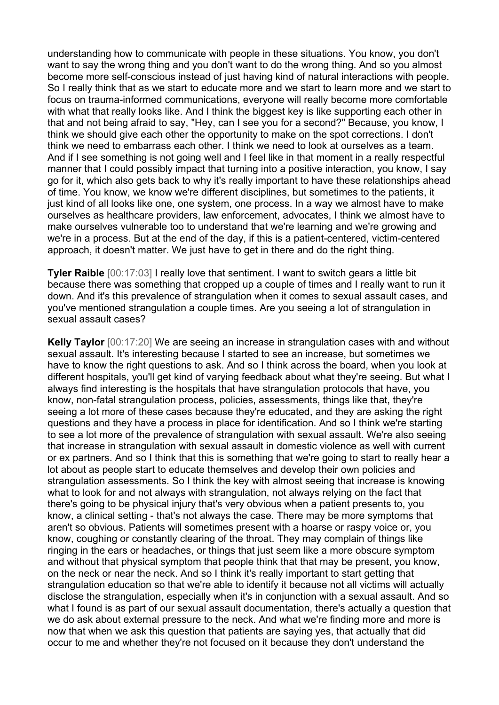understanding how to communicate with people in these situations. You know, you don't want to say the wrong thing and you don't want to do the wrong thing. And so you almost become more self-conscious instead of just having kind of natural interactions with people. So I really think that as we start to educate more and we start to learn more and we start to focus on trauma-informed communications, everyone will really become more comfortable with what that really looks like. And I think the biggest key is like supporting each other in that and not being afraid to say, "Hey, can I see you for a second?" Because, you know, I think we should give each other the opportunity to make on the spot corrections. I don't think we need to embarrass each other. I think we need to look at ourselves as a team. And if I see something is not going well and I feel like in that moment in a really respectful manner that I could possibly impact that turning into a positive interaction, you know, I say go for it, which also gets back to why it's really important to have these relationships ahead of time. You know, we know we're different disciplines, but sometimes to the patients, it just kind of all looks like one, one system, one process. In a way we almost have to make ourselves as healthcare providers, law enforcement, advocates, I think we almost have to make ourselves vulnerable too to understand that we're learning and we're growing and we're in a process. But at the end of the day, if this is a patient-centered, victim-centered approach, it doesn't matter. We just have to get in there and do the right thing.

**Tyler Raible**  $[00:17:03]$  I really love that sentiment. I want to switch gears a little bit because there was something that cropped up a couple of times and I really want to run it down. And it's this prevalence of strangulation when it comes to sexual assault cases, and you've mentioned strangulation a couple times. Are you seeing a lot of strangulation in sexual assault cases?

**Kelly Taylor** [00:17:20] We are seeing an increase in strangulation cases with and without sexual assault. It's interesting because I started to see an increase, but sometimes we have to know the right questions to ask. And so I think across the board, when you look at different hospitals, you'll get kind of varying feedback about what they're seeing. But what I always find interesting is the hospitals that have strangulation protocols that have, you know, non-fatal strangulation process, policies, assessments, things like that, they're seeing a lot more of these cases because they're educated, and they are asking the right questions and they have a process in place for identification. And so I think we're starting to see a lot more of the prevalence of strangulation with sexual assault. We're also seeing that increase in strangulation with sexual assault in domestic violence as well with current or ex partners. And so I think that this is something that we're going to start to really hear a lot about as people start to educate themselves and develop their own policies and strangulation assessments. So I think the key with almost seeing that increase is knowing what to look for and not always with strangulation, not always relying on the fact that there's going to be physical injury that's very obvious when a patient presents to, you know, a clinical setting - that's not always the case. There may be more symptoms that aren't so obvious. Patients will sometimes present with a hoarse or raspy voice or, you know, coughing or constantly clearing of the throat. They may complain of things like ringing in the ears or headaches, or things that just seem like a more obscure symptom and without that physical symptom that people think that that may be present, you know, on the neck or near the neck. And so I think it's really important to start getting that strangulation education so that we're able to identify it because not all victims will actually disclose the strangulation, especially when it's in conjunction with a sexual assault. And so what I found is as part of our sexual assault documentation, there's actually a question that we do ask about external pressure to the neck. And what we're finding more and more is now that when we ask this question that patients are saying yes, that actually that did occur to me and whether they're not focused on it because they don't understand the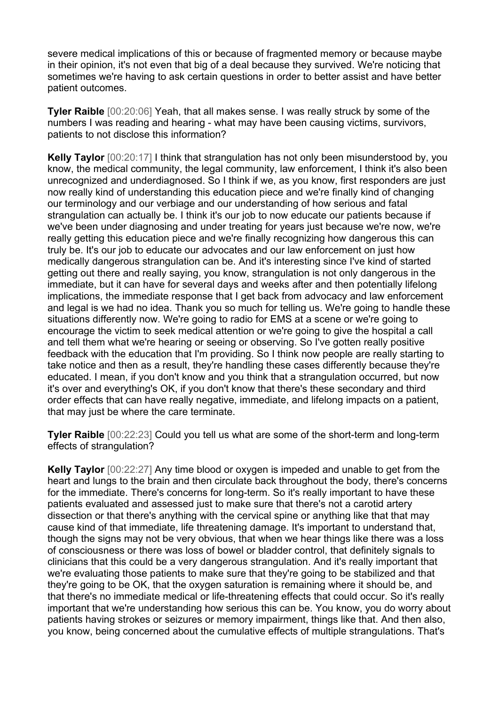severe medical implications of this or because of fragmented memory or because maybe in their opinion, it's not even that big of a deal because they survived. We're noticing that sometimes we're having to ask certain questions in order to better assist and have better patient outcomes.

**Tyler Raible** [00:20:06] Yeah, that all makes sense. I was really struck by some of the numbers I was reading and hearing - what may have been causing victims, survivors, patients to not disclose this information?

**Kelly Taylor** [00:20:17] I think that strangulation has not only been misunderstood by, you know, the medical community, the legal community, law enforcement, I think it's also been unrecognized and underdiagnosed. So I think if we, as you know, first responders are just now really kind of understanding this education piece and we're finally kind of changing our terminology and our verbiage and our understanding of how serious and fatal strangulation can actually be. I think it's our job to now educate our patients because if we've been under diagnosing and under treating for years just because we're now, we're really getting this education piece and we're finally recognizing how dangerous this can truly be. It's our job to educate our advocates and our law enforcement on just how medically dangerous strangulation can be. And it's interesting since I've kind of started getting out there and really saying, you know, strangulation is not only dangerous in the immediate, but it can have for several days and weeks after and then potentially lifelong implications, the immediate response that I get back from advocacy and law enforcement and legal is we had no idea. Thank you so much for telling us. We're going to handle these situations differently now. We're going to radio for EMS at a scene or we're going to encourage the victim to seek medical attention or we're going to give the hospital a call and tell them what we're hearing or seeing or observing. So I've gotten really positive feedback with the education that I'm providing. So I think now people are really starting to take notice and then as a result, they're handling these cases differently because they're educated. I mean, if you don't know and you think that a strangulation occurred, but now it's over and everything's OK, if you don't know that there's these secondary and third order effects that can have really negative, immediate, and lifelong impacts on a patient, that may just be where the care terminate.

**Tyler Raible** [00:22:23] Could you tell us what are some of the short-term and long-term effects of strangulation?

**Kelly Taylor** [00:22:27] Any time blood or oxygen is impeded and unable to get from the heart and lungs to the brain and then circulate back throughout the body, there's concerns for the immediate. There's concerns for long-term. So it's really important to have these patients evaluated and assessed just to make sure that there's not a carotid artery dissection or that there's anything with the cervical spine or anything like that that may cause kind of that immediate, life threatening damage. It's important to understand that, though the signs may not be very obvious, that when we hear things like there was a loss of consciousness or there was loss of bowel or bladder control, that definitely signals to clinicians that this could be a very dangerous strangulation. And it's really important that we're evaluating those patients to make sure that they're going to be stabilized and that they're going to be OK, that the oxygen saturation is remaining where it should be, and that there's no immediate medical or life-threatening effects that could occur. So it's really important that we're understanding how serious this can be. You know, you do worry about patients having strokes or seizures or memory impairment, things like that. And then also, you know, being concerned about the cumulative effects of multiple strangulations. That's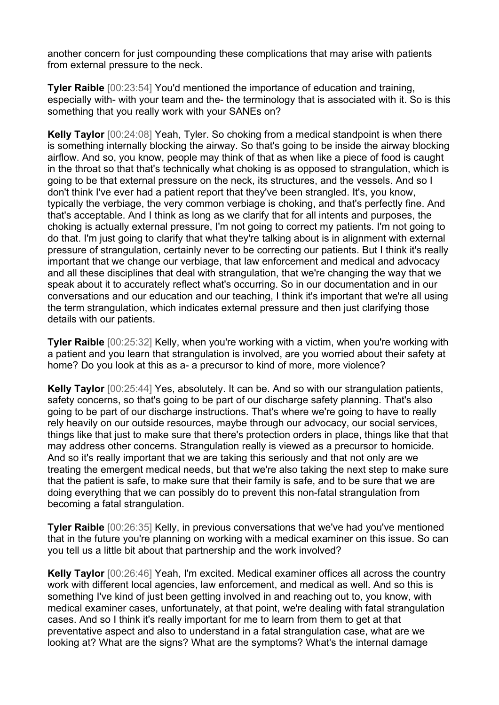another concern for just compounding these complications that may arise with patients from external pressure to the neck.

**Tyler Raible** [00:23:54] You'd mentioned the importance of education and training, especially with- with your team and the- the terminology that is associated with it. So is this something that you really work with your SANEs on?

**Kelly Taylor** [00:24:08] Yeah, Tyler. So choking from a medical standpoint is when there is something internally blocking the airway. So that's going to be inside the airway blocking airflow. And so, you know, people may think of that as when like a piece of food is caught in the throat so that that's technically what choking is as opposed to strangulation, which is going to be that external pressure on the neck, its structures, and the vessels. And so I don't think I've ever had a patient report that they've been strangled. It's, you know, typically the verbiage, the very common verbiage is choking, and that's perfectly fine. And that's acceptable. And I think as long as we clarify that for all intents and purposes, the choking is actually external pressure, I'm not going to correct my patients. I'm not going to do that. I'm just going to clarify that what they're talking about is in alignment with external pressure of strangulation, certainly never to be correcting our patients. But I think it's really important that we change our verbiage, that law enforcement and medical and advocacy and all these disciplines that deal with strangulation, that we're changing the way that we speak about it to accurately reflect what's occurring. So in our documentation and in our conversations and our education and our teaching, I think it's important that we're all using the term strangulation, which indicates external pressure and then just clarifying those details with our patients.

**Tyler Raible** [00:25:32] Kelly, when you're working with a victim, when you're working with a patient and you learn that strangulation is involved, are you worried about their safety at home? Do you look at this as a- a precursor to kind of more, more violence?

**Kelly Taylor** [00:25:44] Yes, absolutely. It can be. And so with our strangulation patients, safety concerns, so that's going to be part of our discharge safety planning. That's also going to be part of our discharge instructions. That's where we're going to have to really rely heavily on our outside resources, maybe through our advocacy, our social services, things like that just to make sure that there's protection orders in place, things like that that may address other concerns. Strangulation really is viewed as a precursor to homicide. And so it's really important that we are taking this seriously and that not only are we treating the emergent medical needs, but that we're also taking the next step to make sure that the patient is safe, to make sure that their family is safe, and to be sure that we are doing everything that we can possibly do to prevent this non-fatal strangulation from becoming a fatal strangulation.

**Tyler Raible** [00:26:35] Kelly, in previous conversations that we've had you've mentioned that in the future you're planning on working with a medical examiner on this issue. So can you tell us a little bit about that partnership and the work involved?

**Kelly Taylor** [00:26:46] Yeah, I'm excited. Medical examiner offices all across the country work with different local agencies, law enforcement, and medical as well. And so this is something I've kind of just been getting involved in and reaching out to, you know, with medical examiner cases, unfortunately, at that point, we're dealing with fatal strangulation cases. And so I think it's really important for me to learn from them to get at that preventative aspect and also to understand in a fatal strangulation case, what are we looking at? What are the signs? What are the symptoms? What's the internal damage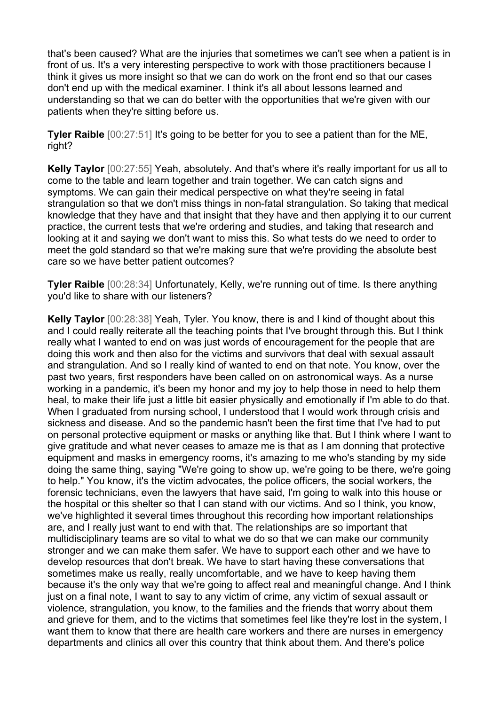that's been caused? What are the injuries that sometimes we can't see when a patient is in front of us. It's a very interesting perspective to work with those practitioners because I think it gives us more insight so that we can do work on the front end so that our cases don't end up with the medical examiner. I think it's all about lessons learned and understanding so that we can do better with the opportunities that we're given with our patients when they're sitting before us.

**Tyler Raible** [00:27:51] It's going to be better for you to see a patient than for the ME, right?

**Kelly Taylor** [00:27:55] Yeah, absolutely. And that's where it's really important for us all to come to the table and learn together and train together. We can catch signs and symptoms. We can gain their medical perspective on what they're seeing in fatal strangulation so that we don't miss things in non-fatal strangulation. So taking that medical knowledge that they have and that insight that they have and then applying it to our current practice, the current tests that we're ordering and studies, and taking that research and looking at it and saying we don't want to miss this. So what tests do we need to order to meet the gold standard so that we're making sure that we're providing the absolute best care so we have better patient outcomes?

**Tyler Raible** [00:28:34] Unfortunately, Kelly, we're running out of time. Is there anything you'd like to share with our listeners?

**Kelly Taylor** [00:28:38] Yeah, Tyler. You know, there is and I kind of thought about this and I could really reiterate all the teaching points that I've brought through this. But I think really what I wanted to end on was just words of encouragement for the people that are doing this work and then also for the victims and survivors that deal with sexual assault and strangulation. And so I really kind of wanted to end on that note. You know, over the past two years, first responders have been called on on astronomical ways. As a nurse working in a pandemic, it's been my honor and my joy to help those in need to help them heal, to make their life just a little bit easier physically and emotionally if I'm able to do that. When I graduated from nursing school, I understood that I would work through crisis and sickness and disease. And so the pandemic hasn't been the first time that I've had to put on personal protective equipment or masks or anything like that. But I think where I want to give gratitude and what never ceases to amaze me is that as I am donning that protective equipment and masks in emergency rooms, it's amazing to me who's standing by my side doing the same thing, saying "We're going to show up, we're going to be there, we're going to help." You know, it's the victim advocates, the police officers, the social workers, the forensic technicians, even the lawyers that have said, I'm going to walk into this house or the hospital or this shelter so that I can stand with our victims. And so I think, you know, we've highlighted it several times throughout this recording how important relationships are, and I really just want to end with that. The relationships are so important that multidisciplinary teams are so vital to what we do so that we can make our community stronger and we can make them safer. We have to support each other and we have to develop resources that don't break. We have to start having these conversations that sometimes make us really, really uncomfortable, and we have to keep having them because it's the only way that we're going to affect real and meaningful change. And I think just on a final note, I want to say to any victim of crime, any victim of sexual assault or violence, strangulation, you know, to the families and the friends that worry about them and grieve for them, and to the victims that sometimes feel like they're lost in the system. I want them to know that there are health care workers and there are nurses in emergency departments and clinics all over this country that think about them. And there's police